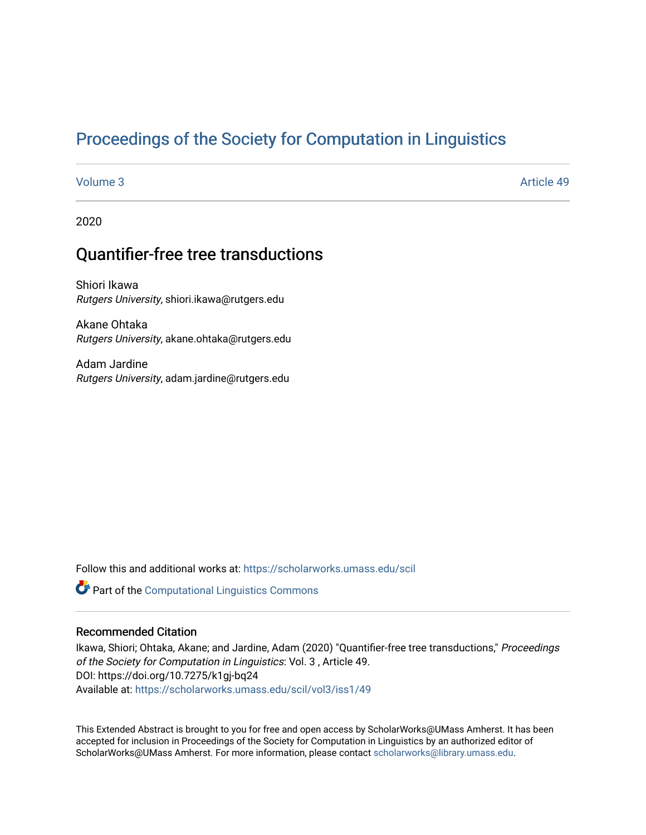# [Proceedings of the Society for Computation in Linguistics](https://scholarworks.umass.edu/scil)

[Volume 3](https://scholarworks.umass.edu/scil/vol3) Article 49

2020

# Quantifier-free tree transductions

Shiori Ikawa Rutgers University, shiori.ikawa@rutgers.edu

Akane Ohtaka Rutgers University, akane.ohtaka@rutgers.edu

Adam Jardine Rutgers University, adam.jardine@rutgers.edu

Follow this and additional works at: [https://scholarworks.umass.edu/scil](https://scholarworks.umass.edu/scil?utm_source=scholarworks.umass.edu%2Fscil%2Fvol3%2Fiss1%2F49&utm_medium=PDF&utm_campaign=PDFCoverPages)

Part of the [Computational Linguistics Commons](http://network.bepress.com/hgg/discipline/375?utm_source=scholarworks.umass.edu%2Fscil%2Fvol3%2Fiss1%2F49&utm_medium=PDF&utm_campaign=PDFCoverPages) 

# Recommended Citation

Ikawa, Shiori; Ohtaka, Akane; and Jardine, Adam (2020) "Quantifier-free tree transductions," Proceedings of the Society for Computation in Linguistics: Vol. 3 , Article 49. DOI: https://doi.org/10.7275/k1gj-bq24 Available at: [https://scholarworks.umass.edu/scil/vol3/iss1/49](https://scholarworks.umass.edu/scil/vol3/iss1/49?utm_source=scholarworks.umass.edu%2Fscil%2Fvol3%2Fiss1%2F49&utm_medium=PDF&utm_campaign=PDFCoverPages) 

This Extended Abstract is brought to you for free and open access by ScholarWorks@UMass Amherst. It has been accepted for inclusion in Proceedings of the Society for Computation in Linguistics by an authorized editor of ScholarWorks@UMass Amherst. For more information, please contact [scholarworks@library.umass.edu.](mailto:scholarworks@library.umass.edu)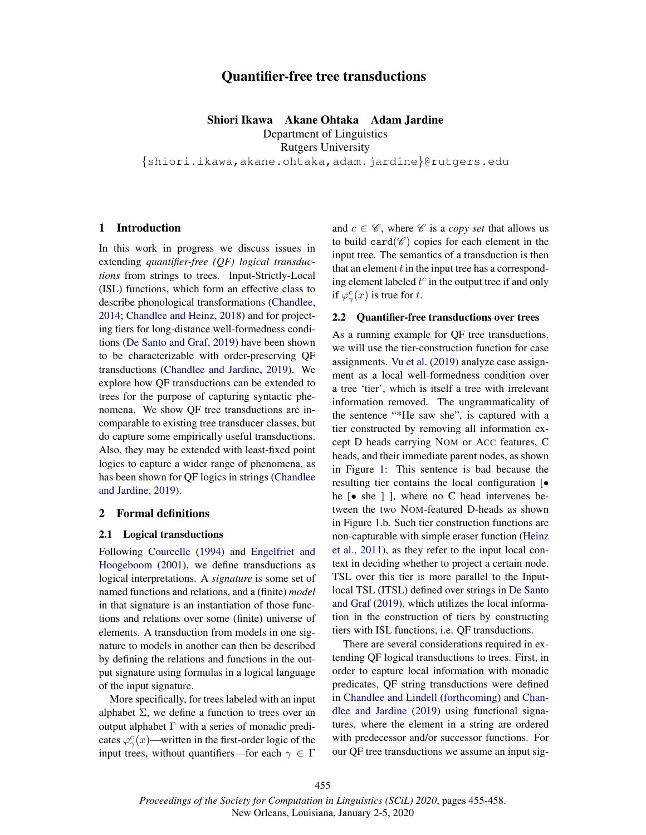# Quantifier-free tree transductions

Shiori Ikawa Akane Ohtaka Adam Jardine Department of Linguistics Rutgers University

{shiori.ikawa,akane.ohtaka,adam.jardine}@rutgers.edu

#### 1 Introduction

In this work in progress we discuss issues in extending *quantifier-free (QF) logical transductions* from strings to trees. Input-Strictly-Local (ISL) functions, which form an effective class to describe phonological transformations (Chandlee, 2014; Chandlee and Heinz, 2018) and for projecting tiers for long-distance well-formedness conditions (De Santo and Graf, 2019) have been shown to be characterizable with order-preserving QF transductions (Chandlee and Jardine, 2019). We explore how QF transductions can be extended to trees for the purpose of capturing syntactic phenomena. We show QF tree transductions are incomparable to existing tree transducer classes, but do capture some empirically useful transductions. Also, they may be extended with least-fixed point logics to capture a wider range of phenomena, as has been shown for QF logics in strings (Chandlee and Jardine, 2019).

#### 2 Formal definitions

#### 2.1 Logical transductions

Following Courcelle (1994) and Engelfriet and Hoogeboom (2001), we define transductions as logical interpretations. A *signature* is some set of named functions and relations, and a (finite) *model* in that signature is an instantiation of those functions and relations over some (finite) universe of elements. A transduction from models in one signature to models in another can then be described by defining the relations and functions in the output signature using formulas in a logical language of the input signature.

More specifically, for trees labeled with an input alphabet  $\Sigma$ , we define a function to trees over an output alphabet  $\Gamma$  with a series of monadic predicates  $\varphi_{\gamma}^{c}(x)$ —written in the first-order logic of the input trees, without quantifiers—for each  $\gamma \in \Gamma$ 

and  $c \in \mathscr{C}$ , where  $\mathscr{C}$  is a *copy set* that allows us to build card( $\mathscr{C}$ ) copies for each element in the input tree. The semantics of a transduction is then that an element  $t$  in the input tree has a corresponding element labeled  $t^c$  in the output tree if and only if  $\varphi^c_\gamma(x)$  is true for t.

#### 2.2 Quantifier-free transductions over trees

As a running example for QF tree transductions, we will use the tier-construction function for case assignments. Vu et al. (2019) analyze case assignment as a local well-formedness condition over a tree 'tier', which is itself a tree with irrelevant information removed. The ungrammaticality of the sentence "\*He saw she", is captured with a tier constructed by removing all information except D heads carrying NOM or ACC features, C heads, and their immediate parent nodes, as shown in Figure 1: This sentence is bad because the resulting tier contains the local configuration [• he [• she ] ], where no C head intervenes between the two NOM-featured D-heads as shown in Figure 1.b. Such tier construction functions are non-capturable with simple eraser function (Heinz et al., 2011), as they refer to the input local context in deciding whether to project a certain node. TSL over this tier is more parallel to the Inputlocal TSL (ITSL) defined over strings in De Santo and Graf (2019), which utilizes the local information in the construction of tiers by constructing tiers with ISL functions, i.e. QF transductions.

There are several considerations required in extending QF logical transductions to trees. First, in order to capture local information with monadic predicates, QF string transductions were defined in Chandlee and Lindell (forthcoming) and Chandlee and Jardine (2019) using functional signatures, where the element in a string are ordered with predecessor and/or successor functions. For our QF tree transductions we assume an input sig-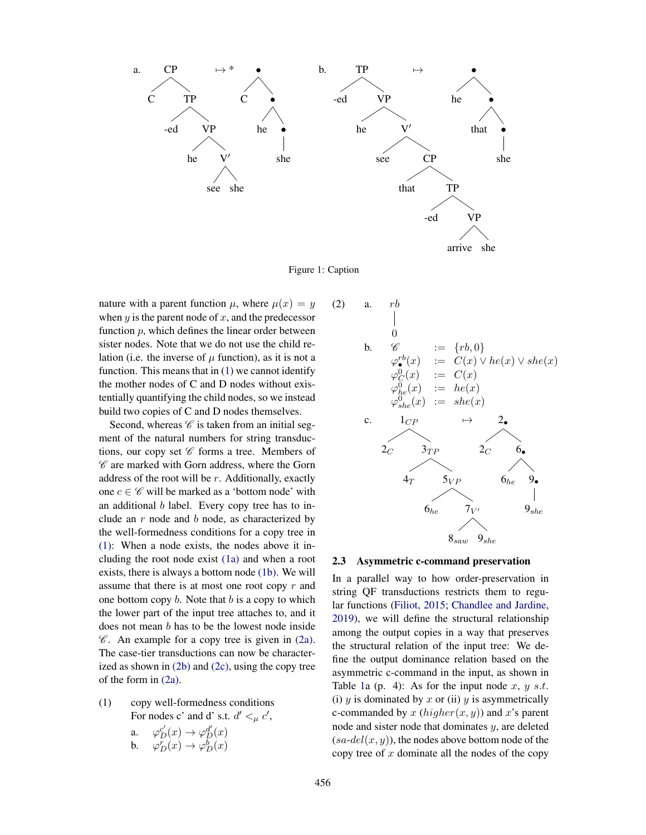

Figure 1: Caption

nature with a parent function  $\mu$ , where  $\mu(x) = y$ when  $y$  is the parent node of  $x$ , and the predecessor function  $p$ , which defines the linear order between sister nodes. Note that we do not use the child relation (i.e. the inverse of  $\mu$  function), as it is not a function. This means that in (1) we cannot identify the mother nodes of C and D nodes without existentially quantifying the child nodes, so we instead build two copies of C and D nodes themselves.

Second, whereas  $\mathscr C$  is taken from an initial segment of the natural numbers for string transductions, our copy set  $C$  forms a tree. Members of  $\mathscr C$  are marked with Gorn address, where the Gorn address of the root will be  $r$ . Additionally, exactly one  $c \in \mathscr{C}$  will be marked as a 'bottom node' with an additional  $b$  label. Every copy tree has to include an  $r$  node and  $b$  node, as characterized by the well-formedness conditions for a copy tree in (1): When a node exists, the nodes above it including the root node exist (1a) and when a root exists, there is always a bottom node (1b). We will assume that there is at most one root copy  $r$  and one bottom copy  $b$ . Note that  $b$  is a copy to which the lower part of the input tree attaches to, and it does not mean b has to be the lowest node inside  $\mathscr C$ . An example for a copy tree is given in (2a). The case-tier transductions can now be characterized as shown in (2b) and (2c), using the copy tree of the form in (2a).

(1) copy well-formedness conditions For nodes c' and d' s.t.  $d' <_{\mu} c'$ ,

> a.  $\varphi_D^{c'}(x) \to \varphi_D^{d'}(x)$ b.  $\varphi_D^r(x) \to \varphi_D^b(x)$

(2) a. 
$$
rb
$$
  
\n $0$   
\nb.  $\mathscr{C} := \{rb, 0\}$   
\n $\varphi_{\bullet}^{rb}(x) := C(x) \vee he(x) \vee she(x)$   
\n $\varphi_{C}^{0}(x) := C(x)$   
\n $\varphi_{he}^{0}(x) := he(x)$   
\n $\varphi_{she}^{0}(x) := she(x)$   
\nc.  $1_{CP} \rightarrow 2_{\bullet}$   
\n2<sub>C</sub>  $3_{TP}$   $2_{C}$   $6_{\bullet}$   
\n4<sub>T</sub>  $5_{VP}$   $6_{he}$   $9_{\bullet}$   
\n $6_{he}$   $7_{V'}$   $9_{she}$   
\n $8_{saw}$   $9_{she}$ 

#### 2.3 Asymmetric c-command preservation

In a parallel way to how order-preservation in string QF transductions restricts them to regular functions (Filiot, 2015; Chandlee and Jardine, 2019), we will define the structural relationship among the output copies in a way that preserves the structural relation of the input tree: We define the output dominance relation based on the asymmetric c-command in the input, as shown in Table 1a (p. 4): As for the input node x, y s.t. (i)  $y$  is dominated by  $x$  or (ii)  $y$  is asymmetrically c-commanded by x  $(higher(x, y))$  and x's parent node and sister node that dominates  $y$ , are deleted  $(sa-del(x, y))$ , the nodes above bottom node of the copy tree of  $x$  dominate all the nodes of the copy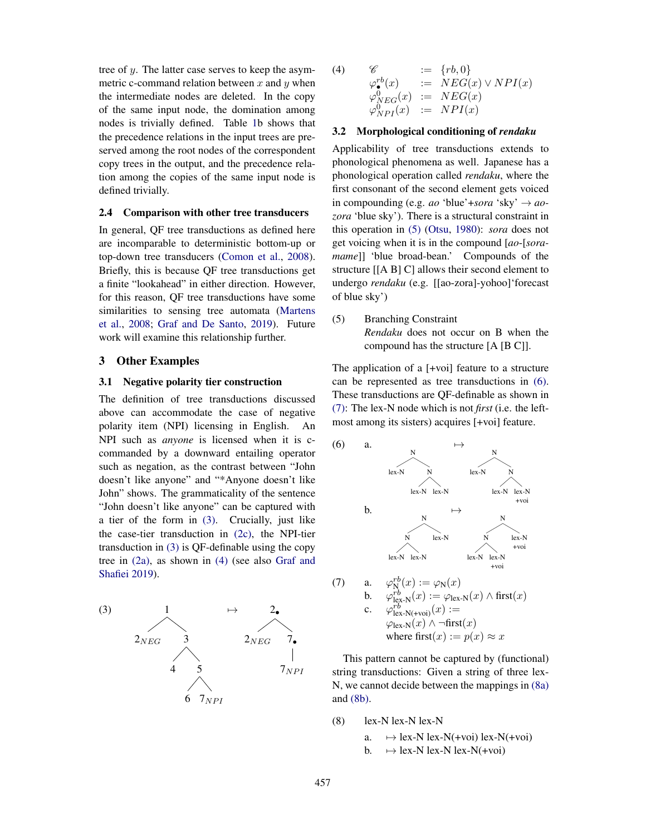tree of y. The latter case serves to keep the asymmetric c-command relation between x and  $y$  when the intermediate nodes are deleted. In the copy of the same input node, the domination among nodes is trivially defined. Table 1b shows that the precedence relations in the input trees are preserved among the root nodes of the correspondent copy trees in the output, and the precedence relation among the copies of the same input node is defined trivially.

#### 2.4 Comparison with other tree transducers

In general, QF tree transductions as defined here are incomparable to deterministic bottom-up or top-down tree transducers (Comon et al., 2008). Briefly, this is because QF tree transductions get a finite "lookahead" in either direction. However, for this reason, QF tree transductions have some similarities to sensing tree automata (Martens et al., 2008; Graf and De Santo, 2019). Future work will examine this relationship further.

#### 3 Other Examples

#### 3.1 Negative polarity tier construction

The definition of tree transductions discussed above can accommodate the case of negative polarity item (NPI) licensing in English. An NPI such as *anyone* is licensed when it is ccommanded by a downward entailing operator such as negation, as the contrast between "John doesn't like anyone" and "\*Anyone doesn't like John" shows. The grammaticality of the sentence "John doesn't like anyone" can be captured with a tier of the form in (3). Crucially, just like the case-tier transduction in (2c), the NPI-tier transduction in (3) is QF-definable using the copy tree in (2a), as shown in (4) (see also Graf and Shafiei 2019).



(4) 
$$
\mathscr{C} := \{rb, 0\}
$$
  
\n $\varphi^{rb}_{\bullet}(x) := NEG(x) \vee NPI(x)$   
\n $\varphi^{0}_{NEG}(x) := NEG(x)$   
\n $\varphi^{0}_{NPI}(x) := NPI(x)$ 

## 3.2 Morphological conditioning of *rendaku*

Applicability of tree transductions extends to phonological phenomena as well. Japanese has a phonological operation called *rendaku*, where the first consonant of the second element gets voiced in compounding (e.g. *ao* 'blue'+*sora* 'sky'  $\rightarrow$  *aozora* 'blue sky'). There is a structural constraint in this operation in (5) (Otsu, 1980): *sora* does not get voicing when it is in the compound [*ao*-[*soramame*]] 'blue broad-bean.' Compounds of the structure [[A B] C] allows their second element to undergo *rendaku* (e.g. [[ao-zora]-yohoo]'forecast of blue sky')

(5) Branching Constraint *Rendaku* does not occur on B when the compound has the structure [A [B C]].

The application of a [+voi] feature to a structure can be represented as tree transductions in (6). These transductions are QF-definable as shown in (7): The lex-N node which is not *first* (i.e. the leftmost among its sisters) acquires [+voi] feature.



This pattern cannot be captured by (functional) string transductions: Given a string of three lex-N, we cannot decide between the mappings in (8a) and (8b).

 $(8)$  lex-N lex-N lex-N

a.  $\mapsto$  lex-N lex-N(+voi) lex-N(+voi)<br>b.  $\mapsto$  lex-N lex-N lex-N(+voi)

 $\mapsto$  lex-N lex-N(+voi)